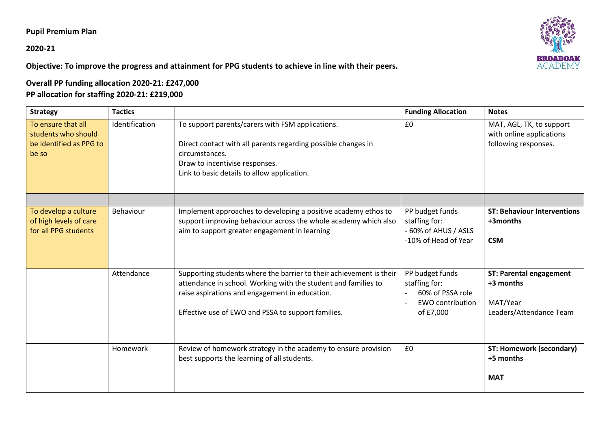## **Pupil Premium Plan**

## **2020-21**

**Objective: To improve the progress and attainment for PPG students to achieve in line with their peers.**



**Overall PP funding allocation 2020-21: £247,000 PP allocation for staffing 2020-21: £219,000**

| <b>Strategy</b>                                                               | <b>Tactics</b> |                                                                                                                                                                                                                                               | <b>Funding Allocation</b>                                                                    | <b>Notes</b>                                                                       |
|-------------------------------------------------------------------------------|----------------|-----------------------------------------------------------------------------------------------------------------------------------------------------------------------------------------------------------------------------------------------|----------------------------------------------------------------------------------------------|------------------------------------------------------------------------------------|
| To ensure that all<br>students who should<br>be identified as PPG to<br>be so | Identification | To support parents/carers with FSM applications.<br>Direct contact with all parents regarding possible changes in<br>circumstances.<br>Draw to incentivise responses.<br>Link to basic details to allow application.                          | £0                                                                                           | MAT, AGL, TK, to support<br>with online applications<br>following responses.       |
|                                                                               |                |                                                                                                                                                                                                                                               |                                                                                              |                                                                                    |
| To develop a culture<br>of high levels of care<br>for all PPG students        | Behaviour      | Implement approaches to developing a positive academy ethos to<br>support improving behaviour across the whole academy which also<br>aim to support greater engagement in learning                                                            | PP budget funds<br>staffing for:<br>- 60% of AHUS / ASLS<br>-10% of Head of Year             | <b>ST: Behaviour Interventions</b><br>+3months<br><b>CSM</b>                       |
|                                                                               | Attendance     | Supporting students where the barrier to their achievement is their<br>attendance in school. Working with the student and families to<br>raise aspirations and engagement in education.<br>Effective use of EWO and PSSA to support families. | PP budget funds<br>staffing for:<br>60% of PSSA role<br><b>EWO</b> contribution<br>of £7,000 | <b>ST: Parental engagement</b><br>+3 months<br>MAT/Year<br>Leaders/Attendance Team |
|                                                                               | Homework       | Review of homework strategy in the academy to ensure provision<br>best supports the learning of all students.                                                                                                                                 | £0                                                                                           | <b>ST: Homework (secondary)</b><br>+5 months<br><b>MAT</b>                         |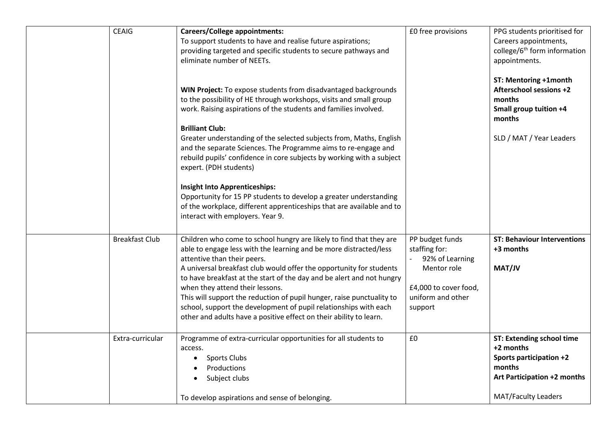| <b>CEAIG</b>          | <b>Careers/College appointments:</b><br>To support students to have and realise future aspirations;<br>providing targeted and specific students to secure pathways and<br>eliminate number of NEETs.                                                                                                                                                                                                                                                                                                                                                                                               | £0 free provisions                                                                                                          | PPG students prioritised for<br>Careers appointments,<br>college/6 <sup>th</sup> form information<br>appointments.                              |
|-----------------------|----------------------------------------------------------------------------------------------------------------------------------------------------------------------------------------------------------------------------------------------------------------------------------------------------------------------------------------------------------------------------------------------------------------------------------------------------------------------------------------------------------------------------------------------------------------------------------------------------|-----------------------------------------------------------------------------------------------------------------------------|-------------------------------------------------------------------------------------------------------------------------------------------------|
|                       | <b>WIN Project:</b> To expose students from disadvantaged backgrounds<br>to the possibility of HE through workshops, visits and small group<br>work. Raising aspirations of the students and families involved.<br><b>Brilliant Club:</b><br>Greater understanding of the selected subjects from, Maths, English<br>and the separate Sciences. The Programme aims to re-engage and<br>rebuild pupils' confidence in core subjects by working with a subject<br>expert. (PDH students)<br><b>Insight Into Apprenticeships:</b><br>Opportunity for 15 PP students to develop a greater understanding |                                                                                                                             | ST: Mentoring +1month<br>Afterschool sessions +2<br>months<br>Small group tuition +4<br>months<br>SLD / MAT / Year Leaders                      |
|                       | of the workplace, different apprenticeships that are available and to<br>interact with employers. Year 9.                                                                                                                                                                                                                                                                                                                                                                                                                                                                                          |                                                                                                                             |                                                                                                                                                 |
| <b>Breakfast Club</b> | Children who come to school hungry are likely to find that they are<br>able to engage less with the learning and be more distracted/less<br>attentive than their peers.<br>A universal breakfast club would offer the opportunity for students<br>to have breakfast at the start of the day and be alert and not hungry<br>when they attend their lessons.<br>This will support the reduction of pupil hunger, raise punctuality to<br>school, support the development of pupil relationships with each<br>other and adults have a positive effect on their ability to learn.                      | PP budget funds<br>staffing for:<br>92% of Learning<br>Mentor role<br>£4,000 to cover food,<br>uniform and other<br>support | <b>ST: Behaviour Interventions</b><br>+3 months<br>MAT/JV                                                                                       |
| Extra-curricular      | Programme of extra-curricular opportunities for all students to<br>access.<br><b>Sports Clubs</b><br>Productions<br>Subject clubs<br>To develop aspirations and sense of belonging.                                                                                                                                                                                                                                                                                                                                                                                                                | £0                                                                                                                          | <b>ST: Extending school time</b><br>+2 months<br>Sports participation +2<br>months<br>Art Participation +2 months<br><b>MAT/Faculty Leaders</b> |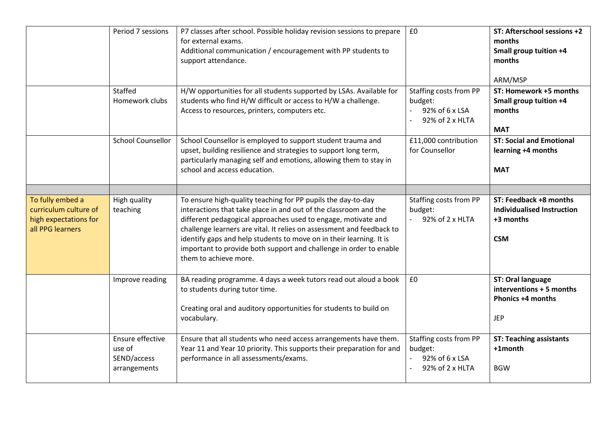|                                                                                        | Period 7 sessions                                         | P7 classes after school. Possible holiday revision sessions to prepare<br>for external exams.<br>Additional communication / encouragement with PP students to<br>support attendance.                                                                                                                                                                                                                                                             | £0                                                                     | ST: Afterschool sessions +2<br>months<br>Small group tuition +4<br>months<br>ARM/MSP           |
|----------------------------------------------------------------------------------------|-----------------------------------------------------------|--------------------------------------------------------------------------------------------------------------------------------------------------------------------------------------------------------------------------------------------------------------------------------------------------------------------------------------------------------------------------------------------------------------------------------------------------|------------------------------------------------------------------------|------------------------------------------------------------------------------------------------|
|                                                                                        | Staffed<br>Homework clubs                                 | H/W opportunities for all students supported by LSAs. Available for<br>students who find H/W difficult or access to H/W a challenge.<br>Access to resources, printers, computers etc.                                                                                                                                                                                                                                                            | Staffing costs from PP<br>budget:<br>92% of 6 x LSA<br>92% of 2 x HLTA | ST: Homework +5 months<br>Small group tuition +4<br>months<br><b>MAT</b>                       |
|                                                                                        | <b>School Counsellor</b>                                  | School Counsellor is employed to support student trauma and<br>upset, building resilience and strategies to support long term,<br>particularly managing self and emotions, allowing them to stay in<br>school and access education.                                                                                                                                                                                                              | £11,000 contribution<br>for Counsellor                                 | <b>ST: Social and Emotional</b><br>learning +4 months<br><b>MAT</b>                            |
| To fully embed a<br>curriculum culture of<br>high expectations for<br>all PPG learners | High quality<br>teaching                                  | To ensure high-quality teaching for PP pupils the day-to-day<br>interactions that take place in and out of the classroom and the<br>different pedagogical approaches used to engage, motivate and<br>challenge learners are vital. It relies on assessment and feedback to<br>identify gaps and help students to move on in their learning. It is<br>important to provide both support and challenge in order to enable<br>them to achieve more. | Staffing costs from PP<br>budget:<br>92% of 2 x HLTA                   | ST: Feedback +8 months<br>Individualised Instruction<br>+3 months<br><b>CSM</b>                |
|                                                                                        | Improve reading                                           | BA reading programme. 4 days a week tutors read out aloud a book<br>to students during tutor time.<br>Creating oral and auditory opportunities for students to build on<br>vocabulary.                                                                                                                                                                                                                                                           | £0                                                                     | <b>ST: Oral language</b><br>interventions + 5 months<br><b>Phonics +4 months</b><br><b>JEP</b> |
|                                                                                        | Ensure effective<br>use of<br>SEND/access<br>arrangements | Ensure that all students who need access arrangements have them.<br>Year 11 and Year 10 priority. This supports their preparation for and<br>performance in all assessments/exams.                                                                                                                                                                                                                                                               | Staffing costs from PP<br>budget:<br>92% of 6 x LSA<br>92% of 2 x HLTA | <b>ST: Teaching assistants</b><br>+1month<br><b>BGW</b>                                        |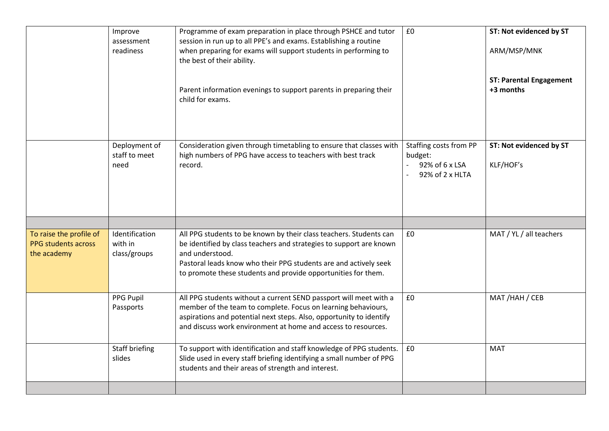|                                                                      | Improve<br>assessment<br>readiness        | Programme of exam preparation in place through PSHCE and tutor<br>session in run up to all PPE's and exams. Establishing a routine<br>when preparing for exams will support students in performing to<br>the best of their ability.<br>Parent information evenings to support parents in preparing their<br>child for exams. | £0                                                                     | ST: Not evidenced by ST<br>ARM/MSP/MNK<br><b>ST: Parental Engagement</b><br>+3 months |
|----------------------------------------------------------------------|-------------------------------------------|------------------------------------------------------------------------------------------------------------------------------------------------------------------------------------------------------------------------------------------------------------------------------------------------------------------------------|------------------------------------------------------------------------|---------------------------------------------------------------------------------------|
|                                                                      | Deployment of<br>staff to meet<br>need    | Consideration given through timetabling to ensure that classes with<br>high numbers of PPG have access to teachers with best track<br>record.                                                                                                                                                                                | Staffing costs from PP<br>budget:<br>92% of 6 x LSA<br>92% of 2 x HLTA | ST: Not evidenced by ST<br>KLF/HOF's                                                  |
|                                                                      |                                           |                                                                                                                                                                                                                                                                                                                              |                                                                        |                                                                                       |
| To raise the profile of<br><b>PPG students across</b><br>the academy | Identification<br>with in<br>class/groups | All PPG students to be known by their class teachers. Students can<br>be identified by class teachers and strategies to support are known<br>and understood.<br>Pastoral leads know who their PPG students are and actively seek<br>to promote these students and provide opportunities for them.                            | £0                                                                     | MAT / YL / all teachers                                                               |
|                                                                      | PPG Pupil<br>Passports                    | All PPG students without a current SEND passport will meet with a<br>member of the team to complete. Focus on learning behaviours,<br>aspirations and potential next steps. Also, opportunity to identify<br>and discuss work environment at home and access to resources.                                                   | £0                                                                     | MAT/HAH / CEB                                                                         |
|                                                                      | <b>Staff briefing</b><br>slides           | To support with identification and staff knowledge of PPG students.<br>Slide used in every staff briefing identifying a small number of PPG<br>students and their areas of strength and interest.                                                                                                                            | £0                                                                     | <b>MAT</b>                                                                            |